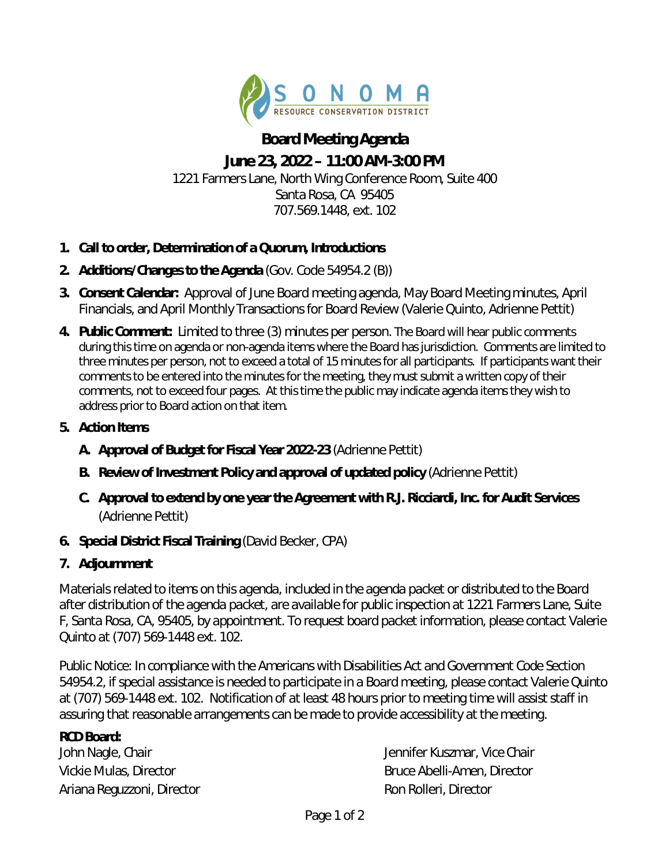

## **Board Meeting Agenda June 23, 2022 – 11:00 AM-3:00 PM**  1221 Farmers Lane, North Wing Conference Room, Suite 400 Santa Rosa, CA 95405 707.569.1448, ext. 102

- **1. Call to order, Determination of a Quorum, Introductions**
- **2. Additions/Changes to the Agenda** (Gov. Code 54954.2 (B))
- **3. Consent Calendar:** Approval of June Board meeting agenda, May Board Meeting minutes, April Financials, and April Monthly Transactions for Board Review (Valerie Quinto, Adrienne Pettit)
- **4. Public Comment:** Limited to three (3) minutes per person. The Board will hear public comments during this time on agenda or non-agenda items where the Board has jurisdiction. Comments are limited to three minutes per person, not to exceed a total of 15 minutes for all participants. If participants want their comments to be entered into the minutes for the meeting, they must submit a written copy of their comments, not to exceed four pages. At this time the public may indicate agenda items they wish to address prior to Board action on that item.
- **5. Action Items** 
	- **A. Approval of Budget for Fiscal Year 2022-23** (Adrienne Pettit)
	- **B. Review of Investment Policy and approval of updated policy** (Adrienne Pettit)
	- **C. Approval to extend by one year the Agreement with R.J. Ricciardi, Inc. for Audit Services**  (Adrienne Pettit)
- **6. Special District Fiscal Training** (David Becker, CPA)
- **7. Adjournment**

*Materials related to items on this agenda, included in the agenda packet or distributed to the Board after distribution of the agenda packet, are available for public inspection at 1221 Farmers Lane, Suite F, Santa Rosa, CA, 95405, by appointment. To request board packet information, please contact Valerie Quinto at (707) 569-1448 ext. 102.* 

*Public Notice: In compliance with the Americans with Disabilities Act and Government Code Section 54954.2, if special assistance is needed to participate in a Board meeting, please contact Valerie Quinto at (707) 569-1448 ext. 102. Notification of at least 48 hours prior to meeting time will assist staff in assuring that reasonable arrangements can be made to provide accessibility at the meeting.* 

## **RCD Board:**

Ariana Reguzzoni, *Director* Ron Rolleri, *Director*

John Nagle, *Chair* Jennifer Kuszmar, *Vice Chair* Vickie Mulas, *Director* Bruce Abelli-Amen, *Director*